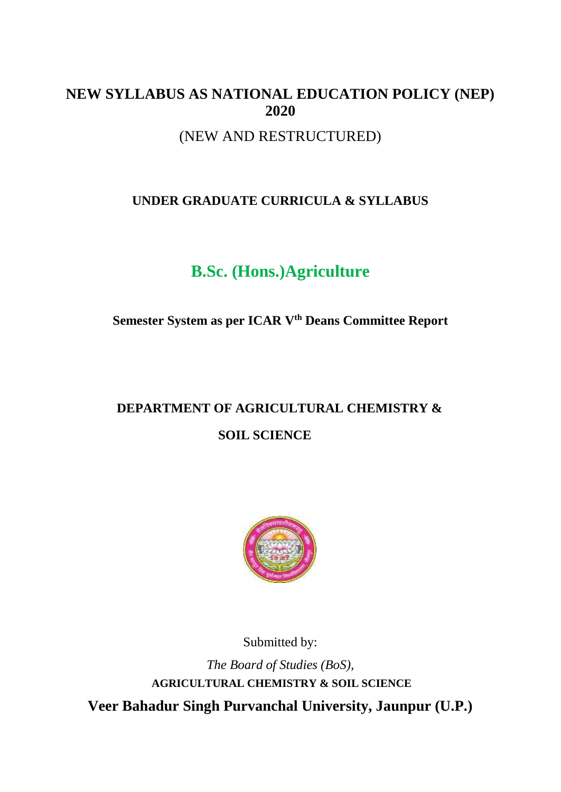# **NEW SYLLABUS AS NATIONAL EDUCATION POLICY (NEP) 2020**

(NEW AND RESTRUCTURED)

# **UNDER GRADUATE CURRICULA & SYLLABUS**

# **B.Sc. (Hons.)Agriculture**

# **Semester System as per ICAR Vth Deans Committee Report**

# **DEPARTMENT OF AGRICULTURAL CHEMISTRY & SOIL SCIENCE**



Submitted by:

*The Board of Studies (BoS),* **AGRICULTURAL CHEMISTRY & SOIL SCIENCE Veer Bahadur Singh Purvanchal University, Jaunpur (U.P.)**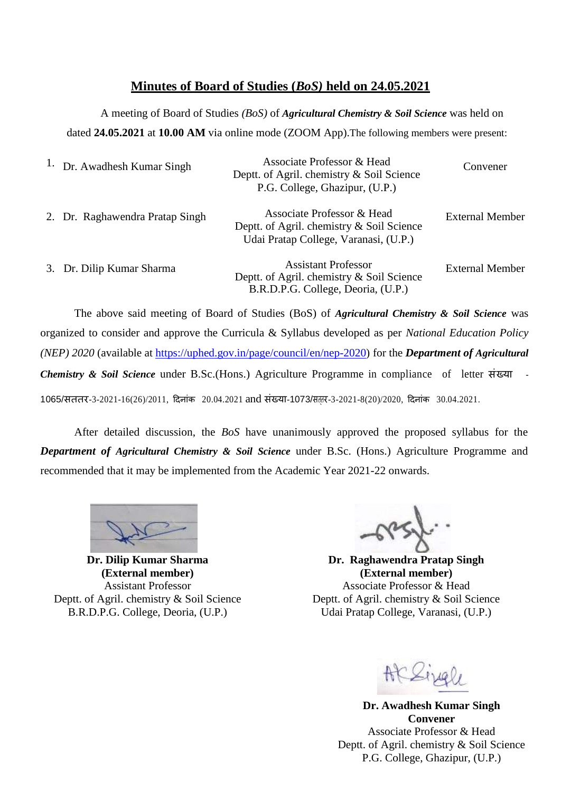## **Minutes of Board of Studies (***BoS)* **held on 24.05.2021**

A meeting of Board of Studies *(BoS)* of *Agricultural Chemistry & Soil Science* was held on dated **24.05.2021** at **10.00 AM** via online mode (ZOOM App).The following members were present:

| Dr. Awadhesh Kumar Singh        | Associate Professor & Head<br>Deptt. of Agril. chemistry & Soil Science<br>P.G. College, Ghazipur, (U.P.)        | Convener               |
|---------------------------------|------------------------------------------------------------------------------------------------------------------|------------------------|
| 2. Dr. Raghawendra Pratap Singh | Associate Professor & Head<br>Deptt. of Agril. chemistry & Soil Science<br>Udai Pratap College, Varanasi, (U.P.) | <b>External Member</b> |
| 3. Dr. Dilip Kumar Sharma       | <b>Assistant Professor</b><br>Deptt. of Agril. chemistry & Soil Science<br>B.R.D.P.G. College, Deoria, (U.P.)    | <b>External Member</b> |

The above said meeting of Board of Studies (BoS) of *Agricultural Chemistry & Soil Science* was organized to consider and approve the Curricula & Syllabus developed as per *National Education Policy (NEP) 2020* (available at [https://uphed.gov.in/page/council/en/nep-2020\)](https://uphed.gov.in/page/council/en/nep-2020) for the *Department of Agricultural Chemistry & Soil Science* under B.Sc.(Hons.) Agriculture Programme in compliance of letter संख्या - 1065/सततर-3-2021-16(26)/2011, दिनांक 20.04.2021 and संख्या-1073/सततर-3-2021-8(20)/2020, दिनांक 30.04.2021.

After detailed discussion, the *BoS* have unanimously approved the proposed syllabus for the *Department of Agricultural Chemistry & Soil Science* under B.Sc. (Hons.) Agriculture Programme and recommended that it may be implemented from the Academic Year 2021-22 onwards.

**(External member) (External member)** Deptt. of Agril. chemistry & Soil Science Deptt. of Agril. chemistry & Soil Science

**Dr. Dilip Kumar Sharma Dr. Raghawendra Pratap Singh** Assistant Professor **Associate Professor & Head** B.R.D.P.G. College, Deoria, (U.P.) Udai Pratap College, Varanasi, (U.P.)

**Dr. Awadhesh Kumar Singh Convener** Associate Professor & Head Deptt. of Agril. chemistry & Soil Science P.G. College, Ghazipur, (U.P.)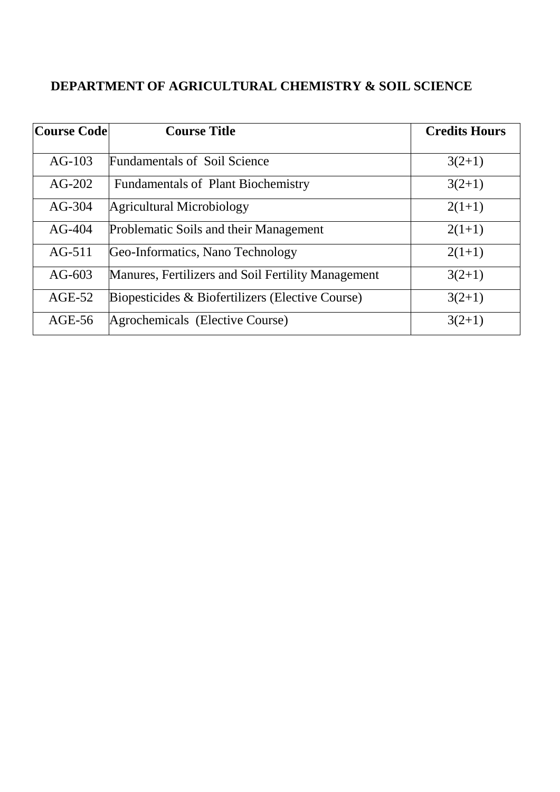# **DEPARTMENT OF AGRICULTURAL CHEMISTRY & SOIL SCIENCE**

| <b>Course Code</b> | <b>Course Title</b>                                | <b>Credits Hours</b> |
|--------------------|----------------------------------------------------|----------------------|
| $AG-103$           | <b>Fundamentals of Soil Science</b>                | $3(2+1)$             |
| $AG-202$           | <b>Fundamentals of Plant Biochemistry</b>          | $3(2+1)$             |
| $AG-304$           | Agricultural Microbiology                          | $2(1+1)$             |
| $AG-404$           | Problematic Soils and their Management             | $2(1+1)$             |
| $AG-511$           | Geo-Informatics, Nano Technology                   | $2(1+1)$             |
| AG- $603$          | Manures, Fertilizers and Soil Fertility Management | $3(2+1)$             |
| $AGE-52$           | Biopesticides & Biofertilizers (Elective Course)   | $3(2+1)$             |
| $AGE-56$           | Agrochemicals (Elective Course)                    | $3(2+1)$             |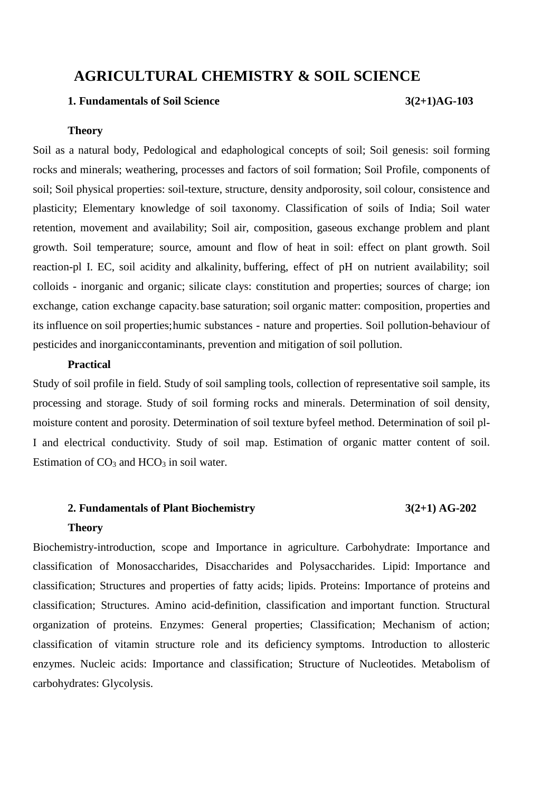# **AGRICULTURAL CHEMISTRY & SOIL SCIENCE**

#### **1. Fundamentals of Soil Science 3(2+1)AG-103**

#### **Theory**

Soil as a natural body, Pedological and edaphological concepts of soil; Soil genesis: soil forming rocks and minerals; weathering, processes and factors of soil formation; Soil Profile, components of soil; Soil physical properties: soil-texture, structure, density andporosity, soil colour, consistence and plasticity; Elementary knowledge of soil taxonomy. Classification of soils of India; Soil water retention, movement and availability; Soil air, composition, gaseous exchange problem and plant growth. Soil temperature; source, amount and flow of heat in soil: effect on plant growth. Soil reaction-pl I. EC, soil acidity and alkalinity, buffering, effect of pH on nutrient availability; soil colloids - inorganic and organic; silicate clays: constitution and properties; sources of charge; ion exchange, cation exchange capacity.base saturation; soil organic matter: composition, properties and its influence on soil properties;humic substances - nature and properties. Soil pollution-behaviour of pesticides and inorganiccontaminants, prevention and mitigation of soil pollution.

#### **Practical**

Study of soil profile in field. Study of soil sampling tools, collection of representative soil sample, its processing and storage. Study of soil forming rocks and minerals. Determination of soil density, moisture content and porosity. Determination of soil texture byfeel method. Determination of soil pl-I and electrical conductivity. Study of soil map. Estimation of organic matter content of soil. Estimation of  $CO<sub>3</sub>$  and  $HCO<sub>3</sub>$  in soil water.

### **2. Fundamentals of Plant Biochemistry 3(2+1) AG-202**

#### **Theory**

Biochemistry-introduction, scope and Importance in agriculture. Carbohydrate: Importance and classification of Monosaccharides, Disaccharides and Polysaccharides. Lipid: Importance and classification; Structures and properties of fatty acids; lipids. Proteins: Importance of proteins and classification; Structures. Amino acid-definition, classification and important function. Structural organization of proteins. Enzymes: General properties; Classification; Mechanism of action; classification of vitamin structure role and its deficiency symptoms. Introduction to allosteric enzymes. Nucleic acids: Importance and classification; Structure of Nucleotides. Metabolism of carbohydrates: Glycolysis.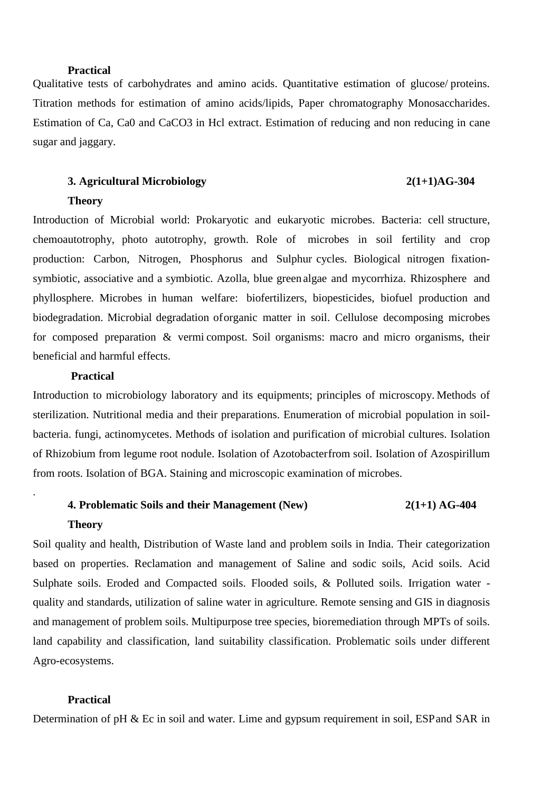### **Practical**

Qualitative tests of carbohydrates and amino acids. Quantitative estimation of glucose/ proteins. Titration methods for estimation of amino acids/lipids, Paper chromatography Monosaccharides. Estimation of Ca, Ca0 and CaCO3 in Hcl extract. Estimation of reducing and non reducing in cane sugar and jaggary.

### **3. Agricultural Microbiology 2(1+1)AG-304**

#### **Theory**

Introduction of Microbial world: Prokaryotic and eukaryotic microbes. Bacteria: cell structure, chemoautotrophy, photo autotrophy, growth. Role of microbes in soil fertility and crop production: Carbon, Nitrogen, Phosphorus and Sulphur cycles. Biological nitrogen fixationsymbiotic, associative and a symbiotic. Azolla, blue green algae and mycorrhiza. Rhizosphere and phyllosphere. Microbes in human welfare: biofertilizers, biopesticides, biofuel production and biodegradation. Microbial degradation oforganic matter in soil. Cellulose decomposing microbes for composed preparation & vermi compost. Soil organisms: macro and micro organisms, their beneficial and harmful effects.

#### **Practical**

Introduction to microbiology laboratory and its equipments; principles of microscopy. Methods of sterilization. Nutritional media and their preparations. Enumeration of microbial population in soilbacteria. fungi, actinomycetes. Methods of isolation and purification of microbial cultures. Isolation of Rhizobium from legume root nodule. Isolation of Azotobacterfrom soil. Isolation of Azospirillum from roots. Isolation of BGA. Staining and microscopic examination of microbes.

# **4. Problematic Soils and their Management (New) 2(1+1) AG-404**

#### **Theory**

.

Soil quality and health, Distribution of Waste land and problem soils in India. Their categorization based on properties. Reclamation and management of Saline and sodic soils, Acid soils. Acid Sulphate soils. Eroded and Compacted soils. Flooded soils, & Polluted soils. Irrigation water quality and standards, utilization of saline water in agriculture. Remote sensing and GIS in diagnosis and management of problem soils. Multipurpose tree species, bioremediation through MPTs of soils. land capability and classification, land suitability classification. Problematic soils under different Agro-ecosystems.

### **Practical**

Determination of pH & Ec in soil and water. Lime and gypsum requirement in soil, ESP and SAR in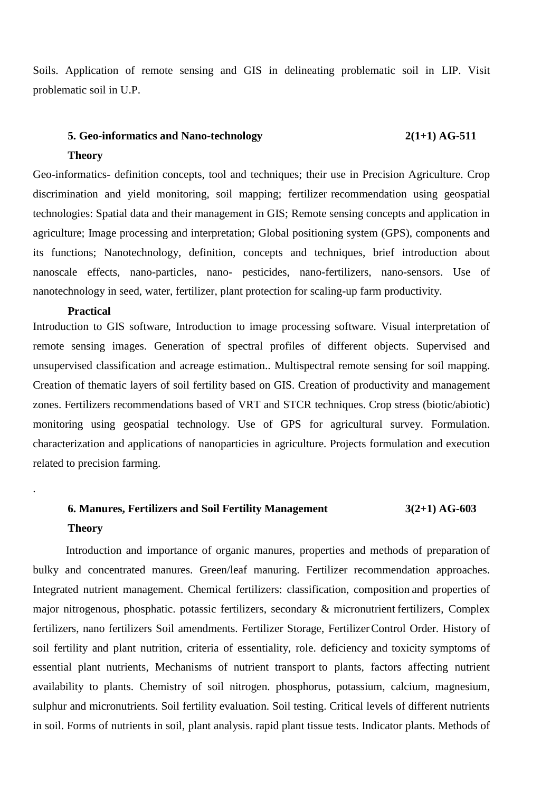Soils. Application of remote sensing and GIS in delineating problematic soil in LIP. Visit problematic soil in U.P.

# **5. Geo-informatics and Nano-technology 2(1+1) AG-511 Theory**

Geo-informatics- definition concepts, tool and techniques; their use in Precision Agriculture. Crop discrimination and yield monitoring, soil mapping; fertilizer recommendation using geospatial technologies: Spatial data and their management in GIS; Remote sensing concepts and application in agriculture; Image processing and interpretation; Global positioning system (GPS), components and its functions; Nanotechnology, definition, concepts and techniques, brief introduction about nanoscale effects, nano-particles, nano- pesticides, nano-fertilizers, nano-sensors. Use of nanotechnology in seed, water, fertilizer, plant protection for scaling-up farm productivity.

#### **Practical**

.

Introduction to GIS software, Introduction to image processing software. Visual interpretation of remote sensing images. Generation of spectral profiles of different objects. Supervised and unsupervised classification and acreage estimation.. Multispectral remote sensing for soil mapping. Creation of thematic layers of soil fertility based on GIS. Creation of productivity and management zones. Fertilizers recommendations based of VRT and STCR techniques. Crop stress (biotic/abiotic) monitoring using geospatial technology. Use of GPS for agricultural survey. Formulation. characterization and applications of nanoparticies in agriculture. Projects formulation and execution related to precision farming.

# **6. Manures, Fertilizers and Soil Fertility Management 3(2+1) AG-603 Theory**

Introduction and importance of organic manures, properties and methods of preparation of bulky and concentrated manures. Green/leaf manuring. Fertilizer recommendation approaches. Integrated nutrient management. Chemical fertilizers: classification, composition and properties of major nitrogenous, phosphatic. potassic fertilizers, secondary & micronutrient fertilizers, Complex fertilizers, nano fertilizers Soil amendments. Fertilizer Storage, FertilizerControl Order. History of soil fertility and plant nutrition, criteria of essentiality, role. deficiency and toxicity symptoms of essential plant nutrients, Mechanisms of nutrient transport to plants, factors affecting nutrient availability to plants. Chemistry of soil nitrogen. phosphorus, potassium, calcium, magnesium, sulphur and micronutrients. Soil fertility evaluation. Soil testing. Critical levels of different nutrients in soil. Forms of nutrients in soil, plant analysis. rapid plant tissue tests. Indicator plants. Methods of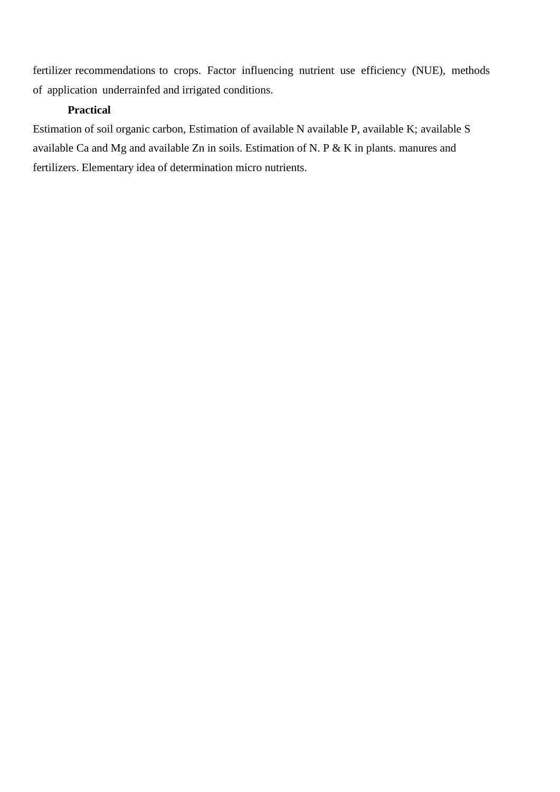fertilizer recommendations to crops. Factor influencing nutrient use efficiency (NUE), methods of application underrainfed and irrigated conditions.

### **Practical**

Estimation of soil organic carbon, Estimation of available N available P, available K; available S available Ca and Mg and available Zn in soils. Estimation of N. P & K in plants. manures and fertilizers. Elementary idea of determination micro nutrients.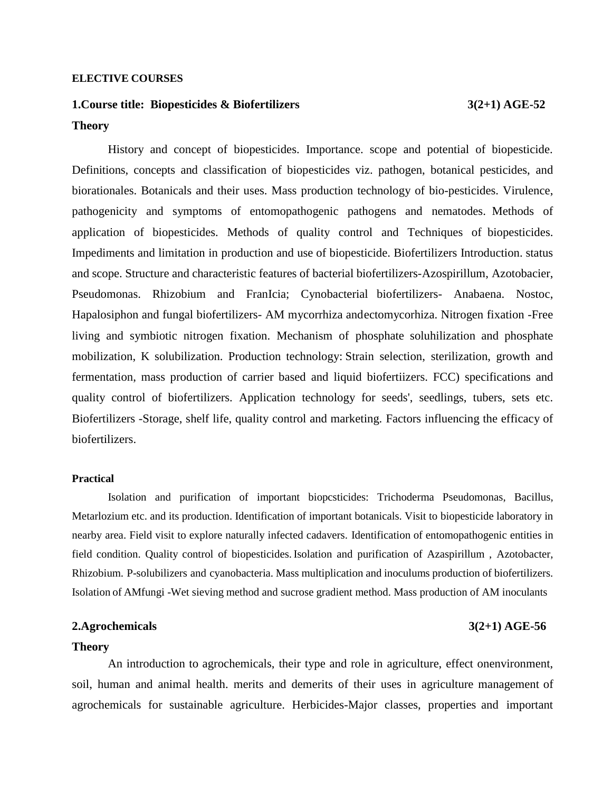#### **ELECTIVE COURSES**

# **1.Course title: Biopesticides & Biofertilizers 3(2+1) AGE-52 Theory**

History and concept of biopesticides. Importance. scope and potential of biopesticide. Definitions, concepts and classification of biopesticides viz. pathogen, botanical pesticides, and biorationales. Botanicals and their uses. Mass production technology of bio-pesticides. Virulence, pathogenicity and symptoms of entomopathogenic pathogens and nematodes. Methods of application of biopesticides. Methods of quality control and Techniques of biopesticides. Impediments and limitation in production and use of biopesticide. Biofertilizers Introduction. status and scope. Structure and characteristic features of bacterial biofertilizers-Azospirillum, Azotobacier, Pseudomonas. Rhizobium and FranIcia; Cynobacterial biofertilizers- Anabaena. Nostoc, Hapalosiphon and fungal biofertilizers- AM mycorrhiza andectomycorhiza. Nitrogen fixation -Free living and symbiotic nitrogen fixation. Mechanism of phosphate soluhilization and phosphate mobilization, K solubilization. Production technology: Strain selection, sterilization, growth and fermentation, mass production of carrier based and liquid biofertiizers. FCC) specifications and quality control of biofertilizers. Application technology for seeds', seedlings, tubers, sets etc. Biofertilizers -Storage, shelf life, quality control and marketing. Factors influencing the efficacy of biofertilizers.

#### **Practical**

Isolation and purification of important biopcsticides: Trichoderma Pseudomonas, Bacillus, Metarlozium etc. and its production. Identification of important botanicals. Visit to biopesticide laboratory in nearby area. Field visit to explore naturally infected cadavers. Identification of entomopathogenic entities in field condition. Quality control of biopesticides. Isolation and purification of Azaspirillum , Azotobacter, Rhizobium. P-solubilizers and cyanobacteria. Mass multiplication and inoculums production of biofertilizers. Isolation of AMfungi -Wet sieving method and sucrose gradient method. Mass production of AM inoculants

#### **2.Agrochemicals 3(2+1) AGE-56**

#### **Theory**

An introduction to agrochemicals, their type and role in agriculture, effect onenvironment, soil, human and animal health. merits and demerits of their uses in agriculture management of agrochemicals for sustainable agriculture. Herbicides-Major classes, properties and important